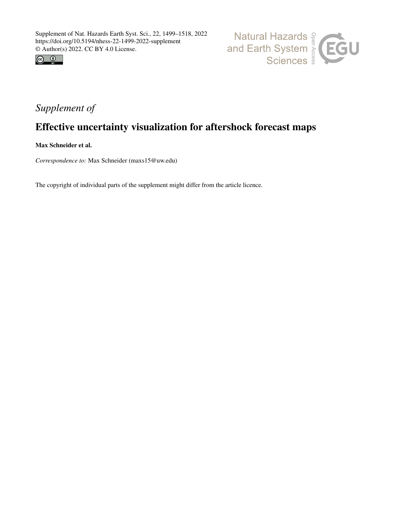



# *Supplement of*

# Effective uncertainty visualization for aftershock forecast maps

Max Schneider et al.

*Correspondence to:* Max Schneider (maxs15@uw.edu)

The copyright of individual parts of the supplement might differ from the article licence.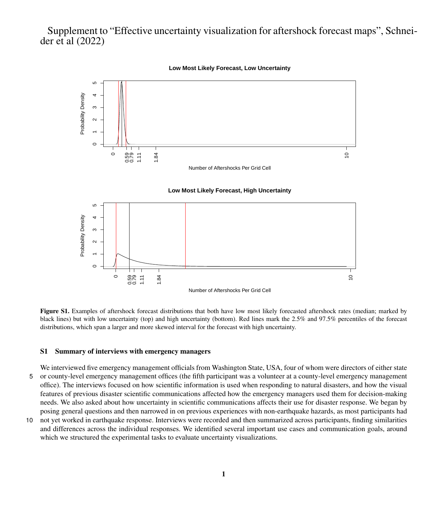# Supplement to "Effective uncertainty visualization for aftershock forecast maps", Schneider et al (2022)

**Low Most Likely Forecast, Low Uncertainty**





Figure S1. Examples of aftershock forecast distributions that both have low most likely forecasted aftershock rates (median; marked by black lines) but with low uncertainty (top) and high uncertainty (bottom). Red lines mark the 2.5% and 97.5% percentiles of the forecast distributions, which span a larger and more skewed interval for the forecast with high uncertainty.

### S1 Summary of interviews with emergency managers

We interviewed five emergency management officials from Washington State, USA, four of whom were directors of either state 5 or county-level emergency management offices (the fifth participant was a volunteer at a county-level emergency management office). The interviews focused on how scientific information is used when responding to natural disasters, and how the visual features of previous disaster scientific communications affected how the emergency managers used them for decision-making needs. We also asked about how uncertainty in scientific communications affects their use for disaster response. We began by posing general questions and then narrowed in on previous experiences with non-earthquake hazards, as most participants had

10 not yet worked in earthquake response. Interviews were recorded and then summarized across participants, finding similarities and differences across the individual responses. We identified several important use cases and communication goals, around which we structured the experimental tasks to evaluate uncertainty visualizations.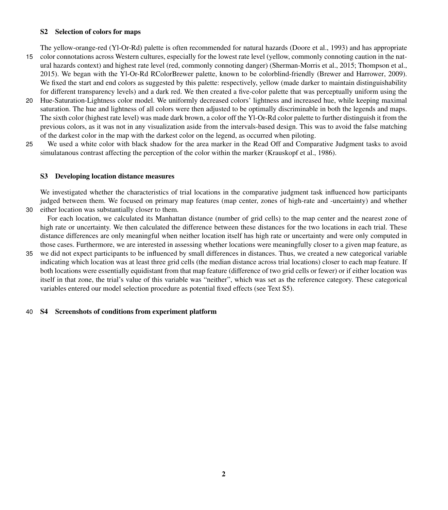# S2 Selection of colors for maps

The yellow-orange-red (Yl-Or-Rd) palette is often recommended for natural hazards [\(Doore et al., 1993\)](#page-7-0) and has appropriate

- 15 color connotations across Western cultures, especially for the lowest rate level (yellow, commonly connoting caution in the natural hazards context) and highest rate level (red, commonly connoting danger) [\(Sherman-Morris et al., 2015;](#page-7-1) [Thompson et al.,](#page-7-2) [2015\)](#page-7-2). We began with the Yl-Or-Rd RColorBrewer palette, known to be colorblind-friendly [\(Brewer and Harrower, 2009\)](#page-7-3). We fixed the start and end colors as suggested by this palette: respectively, yellow (made darker to maintain distinguishability for different transparency levels) and a dark red. We then created a five-color palette that was perceptually uniform using the
- 20 Hue-Saturation-Lightness color model. We uniformly decreased colors' lightness and increased hue, while keeping maximal saturation. The hue and lightness of all colors were then adjusted to be optimally discriminable in both the legends and maps. The sixth color (highest rate level) was made dark brown, a color off the Yl-Or-Rd color palette to further distinguish it from the previous colors, as it was not in any visualization aside from the intervals-based design. This was to avoid the false matching of the darkest color in the map with the darkest color on the legend, as occurred when piloting.
- 25 We used a white color with black shadow for the area marker in the Read Off and Comparative Judgment tasks to avoid simulatanous contrast affecting the perception of the color within the marker [\(Krauskopf et al., 1986\)](#page-7-4).

# S3 Developing location distance measures

We investigated whether the characteristics of trial locations in the comparative judgment task influenced how participants judged between them. We focused on primary map features (map center, zones of high-rate and -uncertainty) and whether 30 either location was substantially closer to them.

For each location, we calculated its Manhattan distance (number of grid cells) to the map center and the nearest zone of high rate or uncertainty. We then calculated the difference between these distances for the two locations in each trial. These distance differences are only meaningful when neither location itself has high rate or uncertainty and were only computed in those cases. Furthermore, we are interested in assessing whether locations were meaningfully closer to a given map feature, as

35 we did not expect participants to be influenced by small differences in distances. Thus, we created a new categorical variable indicating which location was at least three grid cells (the median distance across trial locations) closer to each map feature. If both locations were essentially equidistant from that map feature (difference of two grid cells or fewer) or if either location was itself in that zone, the trial's value of this variable was "neither", which was set as the reference category. These categorical variables entered our model selection procedure as potential fixed effects (see Text [S5\)](#page-5-0).

### 40 S4 Screenshots of conditions from experiment platform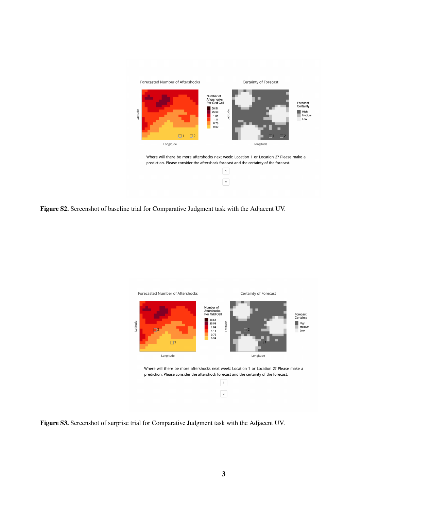

Where will there be more aftershocks next week: Location 1 or Location 2? Please make a prediction. Please consider the aftershock forecast and the certainty of the forecast.



Figure S2. Screenshot of baseline trial for Comparative Judgment task with the Adjacent UV.



Figure S3. Screenshot of surprise trial for Comparative Judgment task with the Adjacent UV.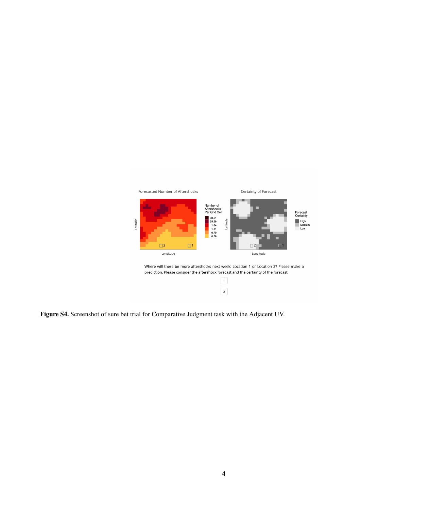

 $\boxed{2}$ 

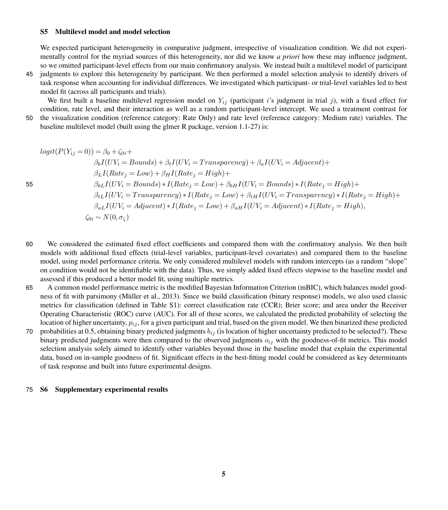### <span id="page-5-0"></span>S5 Multilevel model and model selection

We expected participant heterogeneity in comparative judgment, irrespective of visualization condition. We did not experimentally control for the myriad sources of this heterogeneity, nor did we know *a priori* how these may influence judgment, so we omitted participant-level effects from our main confirmatory analysis. We instead built a multilevel model of participant

45 judgments to explore this heterogeneity by participant. We then performed a model selection analysis to identify drivers of task response when accounting for individual differences. We investigated which participant- or trial-level variables led to best model fit (across all participants and trials).

We first built a baseline multilevel regression model on  $Y_{ij}$  (participant i's judgment in trial j), with a fixed effect for condition, rate level, and their interaction as well as a random participant-level intercept. We used a treatment contrast for 50 the visualization condition (reference category: Rate Only) and rate level (reference category: Medium rate) variables. The

baseline multilevel model (built using the glmer R package, version 1.1-27) is:

$$
logit(P(Y_{ij} = 0)) = \beta_0 + \zeta_{0i} +
$$
  
\n
$$
\beta_b I(UV_i = Bounds) + \beta_t I(UV_i = Transparency) + \beta_a I(UV_i = Adjacent) +
$$
  
\n
$$
\beta_L I(Rate_j = Low) + \beta_H I(Rate_j = High) +
$$
  
\n
$$
\beta_{bL} I(UV_i = Bounds) * I(Rate_j = Low) + \beta_{bH} I(UV_i = Bounds) * I(Rate_j = High) +
$$
  
\n
$$
\beta_{tL} I(UV_i = Transparency) * I(Rate_j = Low) + \beta_{tH} I(UV_i = Transparency) * I(Rate_j = High) +
$$
  
\n
$$
\beta_{aL} I(UV_i = Adjacent) * I(Rate_j = Low) + \beta_{aH} I(UV_i = Adjacent) * I(Rate_j = High),
$$
  
\n
$$
\zeta_{0i} \sim N(0, \sigma_{\zeta})
$$

- 60 We considered the estimated fixed effect coefficients and compared them with the confirmatory analysis. We then built models with additional fixed effects (trial-level variables, participant-level covariates) and compared them to the baseline model, using model performance criteria. We only considered multilevel models with random intercepts (as a random "slope" on condition would not be identifiable with the data). Thus, we simply added fixed effects stepwise to the baseline model and assessed if this produced a better model fit, using multiple metrics.
- 65 A common model performance metric is the modified Bayesian Information Criterion (mBIC), which balances model goodness of fit with parsimony [\(Müller et al., 2013\)](#page-7-5). Since we build classification (binary response) models, we also used classic metrics for classification (defined in Table [S1\)](#page-7-6): correct classification rate (CCR); Brier score; and area under the Receiver Operating Characteristic (ROC) curve (AUC). For all of these scores, we calculated the predicted probability of selecting the location of higher uncertainty,  $p_{ij}$ , for a given participant and trial, based on the given model. We then binarized these predicted
- 70 probabilities at 0.5, obtaining binary predicted judgments  $b_{ij}$  (is location of higher uncertainty predicted to be selected?). These binary predicted judgments were then compared to the observed judgments  $o_{ij}$  with the goodness-of-fit metrics. This model selection analysis solely aimed to identify other variables beyond those in the baseline model that explain the experimental data, based on in-sample goodness of fit. Significant effects in the best-fitting model could be considered as key determinants of task response and built into future experimental designs.

## 75 S6 Supplementary experimental results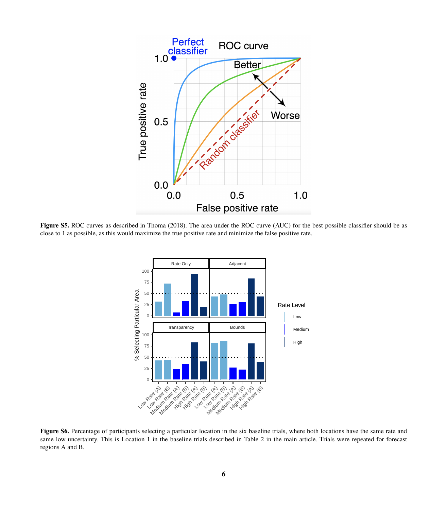<span id="page-6-0"></span>

Figure S5. ROC curves as described in [Thoma](#page-7-7) [\(2018\)](#page-7-7). The area under the ROC curve (AUC) for the best possible classifier should be as close to 1 as possible, as this would maximize the true positive rate and minimize the false positive rate.



Figure S6. Percentage of participants selecting a particular location in the six baseline trials, where both locations have the same rate and same low uncertainty. This is Location 1 in the baseline trials described in Table 2 in the main article. Trials were repeated for forecast regions A and B.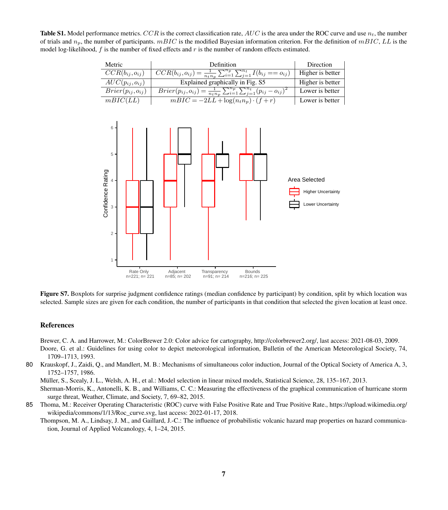<span id="page-7-6"></span>**Table S1.** Model performance metrics.  $CCR$  is the correct classification rate,  $AUC$  is the area under the ROC curve and use  $n_t$ , the number of trials and  $n_p$ , the number of participants.  $mBIC$  is the modified Bayesian information criterion. For the definition of  $mBIC$ , LL is the model log-likelihood,  $f$  is the number of fixed effects and  $r$  is the number of random effects estimated.

| Metric                                                              | Definition                                                                                                | Direction                                                       |  |
|---------------------------------------------------------------------|-----------------------------------------------------------------------------------------------------------|-----------------------------------------------------------------|--|
| $CCR(b_{ij}, o_{ij})$                                               | $\overline{CCR(b_{ij},o_{ij})} = \frac{1}{n_t n_n} \sum_{i=1}^{n_p} \sum_{j=1}^{n_t} I(b_{ij} == o_{ij})$ | Higher is better                                                |  |
| $AUC(p_{ij},o_{ij})$                                                | Explained graphically in Fig. S5                                                                          | Higher is better                                                |  |
| $Brier(p_{ij}, o_{ij})$                                             | $Brier(p_{ij}, o_{ij}) = \frac{1}{n_t n_p} \sum_{i=1}^{n_p} \sum_{j=1}^{n_t} (p_{ij} - o_{ij})^2$         | Lower is better                                                 |  |
| mBIC(LL)                                                            | $\overline{mBIC} = -2LL + \log(n_t n_p) \cdot (f+r)$                                                      | Lower is better                                                 |  |
| $6 -$<br>5<br>Confidence Rating<br>$\overline{c}$<br>1<br>Rate Only | Adjacent<br>Transparency<br><b>Bounds</b>                                                                 | Area Selected<br><b>Higher Uncertainty</b><br>Lower Uncertainty |  |
| $n=221; n=221$                                                      | $n=91$ ; $n=214$<br>$n=85; n=202$<br>$n=216; n=225$                                                       |                                                                 |  |

Figure S7. Boxplots for surprise judgment confidence ratings (median confidence by participant) by condition, split by which location was selected. Sample sizes are given for each condition, the number of participants in that condition that selected the given location at least once.

#### References

<span id="page-7-3"></span>Brewer, C. A. and Harrower, M.: ColorBrewer 2.0: Color advice for cartography, [http://colorbrewer2.org/,](http://colorbrewer2.org/) last access: 2021-08-03, 2009.

- <span id="page-7-0"></span>Doore, G. et al.: Guidelines for using color to depict meteorological information, Bulletin of the American Meteorological Society, 74, 1709–1713, 1993.
- <span id="page-7-5"></span><span id="page-7-4"></span>80 Krauskopf, J., Zaidi, Q., and Mandlert, M. B.: Mechanisms of simultaneous color induction, Journal of the Optical Society of America A, 3, 1752–1757, 1986.

Müller, S., Scealy, J. L., Welsh, A. H., et al.: Model selection in linear mixed models, Statistical Science, 28, 135–167, 2013.

<span id="page-7-1"></span>Sherman-Morris, K., Antonelli, K. B., and Williams, C. C.: Measuring the effectiveness of the graphical communication of hurricane storm surge threat, Weather, Climate, and Society, 7, 69–82, 2015.

<span id="page-7-7"></span><span id="page-7-2"></span>85 [T](https://upload.wikimedia.org/wikipedia/commons/1/13/Roc_curve.svg)homa, M.: Receiver Operating Characteristic (ROC) curve with False Positive Rate and True Positive Rate., [https://upload.wikimedia.org/](https://upload.wikimedia.org/wikipedia/commons/1/13/Roc_curve.svg) [wikipedia/commons/1/13/Roc\\_curve.svg,](https://upload.wikimedia.org/wikipedia/commons/1/13/Roc_curve.svg) last access: 2022-01-17, 2018.

Thompson, M. A., Lindsay, J. M., and Gaillard, J.-C.: The influence of probabilistic volcanic hazard map properties on hazard communication, Journal of Applied Volcanology, 4, 1–24, 2015.